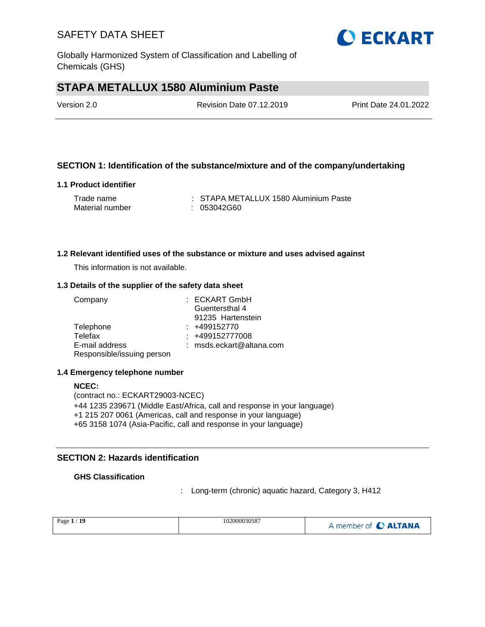

# **STAPA METALLUX 1580 Aluminium Paste**

| Version 2.0 | <b>Revision Date 07.12.2019</b> | Print Date 24.01.2022 |
|-------------|---------------------------------|-----------------------|
|             |                                 |                       |

### **SECTION 1: Identification of the substance/mixture and of the company/undertaking**

### **1.1 Product identifier**

| Trade name      | : STAPA METALLUX 1580 Aluminium Paste |
|-----------------|---------------------------------------|
| Material number | : 053042G60                           |

#### **1.2 Relevant identified uses of the substance or mixture and uses advised against**

This information is not available.

#### **1.3 Details of the supplier of the safety data sheet**

| Company                    | : ECKART GmbH            |
|----------------------------|--------------------------|
|                            | Guentersthal 4           |
|                            | 91235 Hartenstein        |
| Telephone                  | $: +499152770$           |
| Telefax                    | : +499152777008          |
| E-mail address             | : msds.eckart@altana.com |
| Responsible/issuing person |                          |

#### **1.4 Emergency telephone number**

**NCEC:** (contract no.: ECKART29003-NCEC) +44 1235 239671 (Middle East/Africa, call and response in your language) +1 215 207 0061 (Americas, call and response in your language) +65 3158 1074 (Asia-Pacific, call and response in your language)

### **SECTION 2: Hazards identification**

### **GHS Classification**

: Long-term (chronic) aquatic hazard, Category 3, H412

| Page $1/$<br>A member of C ALTANA | 102000030587<br>-19 |  |
|-----------------------------------|---------------------|--|
|-----------------------------------|---------------------|--|

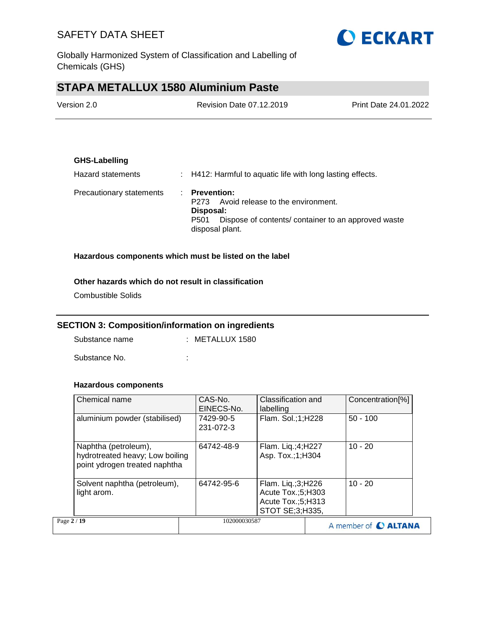

Globally Harmonized System of Classification and Labelling of Chemicals (GHS)

# **STAPA METALLUX 1580 Aluminium Paste**

| Version 2.0 | Revision Date 07.12.2019 | <b>Print Date 24.01.2022</b> |
|-------------|--------------------------|------------------------------|
|             |                          |                              |

### **GHS-Labelling**

| Hazard statements        | $\therefore$ H412: Harmful to aquatic life with long lasting effects.                                                                                                |
|--------------------------|----------------------------------------------------------------------------------------------------------------------------------------------------------------------|
| Precautionary statements | $\therefore$ Prevention:<br>Avoid release to the environment.<br>P273<br>Disposal:<br>Dispose of contents/ container to an approved waste<br>P501<br>disposal plant. |

### **Hazardous components which must be listed on the label**

### **Other hazards which do not result in classification**

Combustible Solids

### **SECTION 3: Composition/information on ingredients**

Substance name : METALLUX 1580

Substance No. **:**  $\qquad \qquad$  :

### **Hazardous components**

| Chemical name                                                                            | CAS-No.<br>EINECS-No.  | Classification and<br>labelling                                                | Concentration <sup>[%]</sup> |
|------------------------------------------------------------------------------------------|------------------------|--------------------------------------------------------------------------------|------------------------------|
| aluminium powder (stabilised)                                                            | 7429-90-5<br>231-072-3 | Flam. Sol.;1;H228                                                              | $50 - 100$                   |
| Naphtha (petroleum),<br>hydrotreated heavy; Low boiling<br>point ydrogen treated naphtha | 64742-48-9             | Flam. Liq.;4;H227<br>Asp. Tox.; 1; H304                                        | $10 - 20$                    |
| Solvent naphtha (petroleum),<br>light arom.                                              | 64742-95-6             | Flam. Liq.;3;H226<br>Acute Tox.;5;H303<br>Acute Tox.;5;H313<br>STOT SE;3;H335, | $10 - 20$                    |
| Page 2 / 19                                                                              | 102000030587           |                                                                                | A member of <b>C ALTANA</b>  |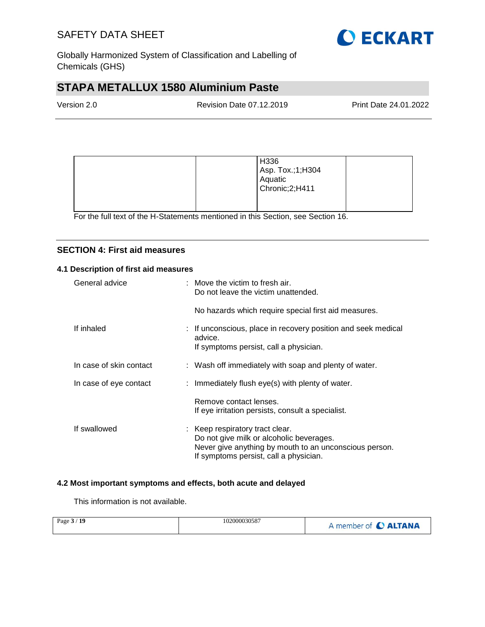

Globally Harmonized System of Classification and Labelling of Chemicals (GHS)

# **STAPA METALLUX 1580 Aluminium Paste**

| Version 2.0 | Revision Date 07.12.2019 | <b>Print Date 24.01.2022</b> |
|-------------|--------------------------|------------------------------|
|             |                          |                              |

|  | H336<br>Asp. Tox.;1;H304<br>Aquatic<br>Chronic; 2; H411 |  |
|--|---------------------------------------------------------|--|
|--|---------------------------------------------------------|--|

For the full text of the H-Statements mentioned in this Section, see Section 16.

### **SECTION 4: First aid measures**

### **4.1 Description of first aid measures**

| General advice          | $:$ Move the victim to fresh air.<br>Do not leave the victim unattended.                                                                                                        |
|-------------------------|---------------------------------------------------------------------------------------------------------------------------------------------------------------------------------|
|                         | No hazards which require special first aid measures.                                                                                                                            |
| If inhaled              | : If unconscious, place in recovery position and seek medical<br>advice.<br>If symptoms persist, call a physician.                                                              |
| In case of skin contact | : Wash off immediately with soap and plenty of water.                                                                                                                           |
| In case of eye contact  | : Immediately flush eye(s) with plenty of water.                                                                                                                                |
|                         | Remove contact lenses.<br>If eye irritation persists, consult a specialist.                                                                                                     |
| If swallowed            | : Keep respiratory tract clear.<br>Do not give milk or alcoholic beverages.<br>Never give anything by mouth to an unconscious person.<br>If symptoms persist, call a physician. |

### **4.2 Most important symptoms and effects, both acute and delayed**

This information is not available.

| Page $3/19$ | 102000030587 | A member of C ALTANA |
|-------------|--------------|----------------------|
|-------------|--------------|----------------------|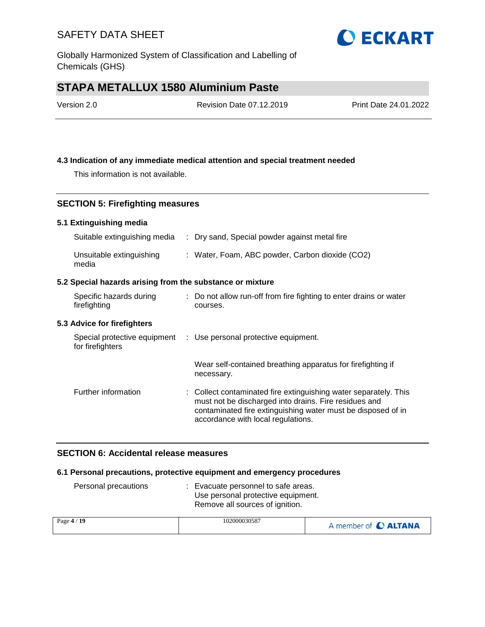Globally Harmonized System of Classification and Labelling of Chemicals (GHS)

# **STAPA METALLUX 1580 Aluminium Paste**

| Version 2.0 | <b>Revision Date 07.12.2019</b> | Print Date 24.01.2022 |
|-------------|---------------------------------|-----------------------|
|             |                                 |                       |

### **4.3 Indication of any immediate medical attention and special treatment needed**

This information is not available.

### **SECTION 5: Firefighting measures**

### **5.1 Extinguishing media**

| Suitable extinguishing media                              | : Dry sand, Special powder against metal fire                                                                                                                                                                                   |
|-----------------------------------------------------------|---------------------------------------------------------------------------------------------------------------------------------------------------------------------------------------------------------------------------------|
| Unsuitable extinguishing<br>media                         | : Water, Foam, ABC powder, Carbon dioxide (CO2)                                                                                                                                                                                 |
| 5.2 Special hazards arising from the substance or mixture |                                                                                                                                                                                                                                 |
| Specific hazards during<br>firefighting                   | : Do not allow run-off from fire fighting to enter drains or water<br>courses.                                                                                                                                                  |
| 5.3 Advice for firefighters                               |                                                                                                                                                                                                                                 |
| Special protective equipment<br>for firefighters          | : Use personal protective equipment.                                                                                                                                                                                            |
|                                                           | Wear self-contained breathing apparatus for firefighting if<br>necessary.                                                                                                                                                       |
| Further information                                       | : Collect contaminated fire extinguishing water separately. This<br>must not be discharged into drains. Fire residues and<br>contaminated fire extinguishing water must be disposed of in<br>accordance with local regulations. |

### **SECTION 6: Accidental release measures**

### **6.1 Personal precautions, protective equipment and emergency procedures**

| Personal precautions | Evacuate personnel to safe areas.<br>Use personal protective equipment.<br>Remove all sources of ignition. |                     |
|----------------------|------------------------------------------------------------------------------------------------------------|---------------------|
| Page 4 / 19          | 102000030587                                                                                               | A monday of AITABLA |

| Page $4/19$ | 102000030587 | A member of C ALTANA |
|-------------|--------------|----------------------|
|-------------|--------------|----------------------|

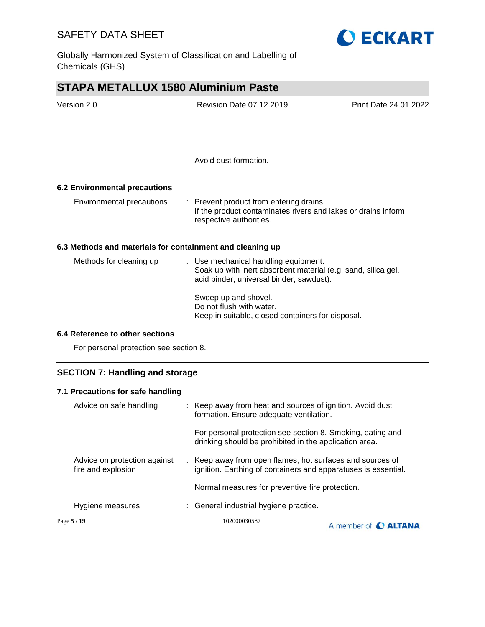Globally Harmonized System of Classification and Labelling of Chemicals (GHS)



| Version 2.0 | Revision Date 07.12.2019 | Print Date 24.01.2022 |
|-------------|--------------------------|-----------------------|
|             |                          |                       |
|             |                          |                       |
|             | Avoid dust formation.    |                       |

**6.2 Environmental precautions**

| Environmental precautions | : Prevent product from entering drains.<br>If the product contaminates rivers and lakes or drains inform<br>respective authorities. |
|---------------------------|-------------------------------------------------------------------------------------------------------------------------------------|
|                           |                                                                                                                                     |

### **6.3 Methods and materials for containment and cleaning up**

| Methods for cleaning up | : Use mechanical handling equipment.<br>Soak up with inert absorbent material (e.g. sand, silica gel,<br>acid binder, universal binder, sawdust). |
|-------------------------|---------------------------------------------------------------------------------------------------------------------------------------------------|
|                         | Sweep up and shovel.<br>Do not flush with water.<br>Keep in suitable, closed containers for disposal.                                             |

#### **6.4 Reference to other sections**

For personal protection see section 8.

### **SECTION 7: Handling and storage**

| 7.1 Precautions for safe handling                  |                                                                                                                             |                             |  |
|----------------------------------------------------|-----------------------------------------------------------------------------------------------------------------------------|-----------------------------|--|
| Advice on safe handling                            | : Keep away from heat and sources of ignition. Avoid dust<br>formation. Ensure adequate ventilation.                        |                             |  |
|                                                    | For personal protection see section 8. Smoking, eating and<br>drinking should be prohibited in the application area.        |                             |  |
| Advice on protection against<br>fire and explosion | : Keep away from open flames, hot surfaces and sources of<br>ignition. Earthing of containers and apparatuses is essential. |                             |  |
|                                                    | Normal measures for preventive fire protection.                                                                             |                             |  |
| Hygiene measures                                   | : General industrial hygiene practice.                                                                                      |                             |  |
| Page 5 / 19                                        | 102000030587                                                                                                                | A member of <b>C ALTANA</b> |  |

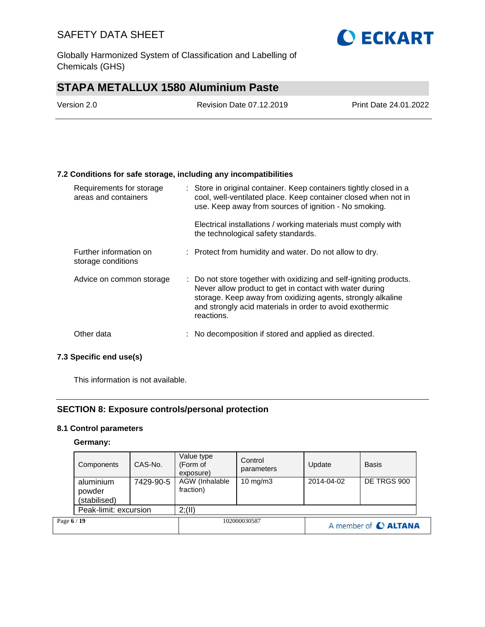Globally Harmonized System of Classification and Labelling of Chemicals (GHS)

# **STAPA METALLUX 1580 Aluminium Paste**

| Version 2.0 | Revision Date 07.12.2019 | Print Date 24.01.2022 |
|-------------|--------------------------|-----------------------|
|             |                          |                       |

### **7.2 Conditions for safe storage, including any incompatibilities**

| Requirements for storage<br>areas and containers | : Store in original container. Keep containers tightly closed in a<br>cool, well-ventilated place. Keep container closed when not in<br>use. Keep away from sources of ignition - No smoking.                                                                          |
|--------------------------------------------------|------------------------------------------------------------------------------------------------------------------------------------------------------------------------------------------------------------------------------------------------------------------------|
|                                                  | Electrical installations / working materials must comply with<br>the technological safety standards.                                                                                                                                                                   |
| Further information on<br>storage conditions     | : Protect from humidity and water. Do not allow to dry.                                                                                                                                                                                                                |
| Advice on common storage                         | : Do not store together with oxidizing and self-igniting products.<br>Never allow product to get in contact with water during<br>storage. Keep away from oxidizing agents, strongly alkaline<br>and strongly acid materials in order to avoid exothermic<br>reactions. |
| Other data                                       | : No decomposition if stored and applied as directed.                                                                                                                                                                                                                  |

### **7.3 Specific end use(s)**

This information is not available.

### **SECTION 8: Exposure controls/personal protection**

### **8.1 Control parameters**

#### **Germany:**

|             | Components                          | CAS-No.   | Value type<br>(Form of<br>exposure) | Control<br>parameters | Update               | <b>Basis</b> |
|-------------|-------------------------------------|-----------|-------------------------------------|-----------------------|----------------------|--------------|
|             | aluminium<br>powder<br>(stabilised) | 7429-90-5 | AGW (Inhalable<br>fraction)         | $10 \text{ mg/m}$     | 2014-04-02           | DE TRGS 900  |
|             | Peak-limit: excursion               |           | 2; (II)                             |                       |                      |              |
| Page 6 / 19 |                                     |           | 102000030587                        |                       | A member of C ALTANA |              |

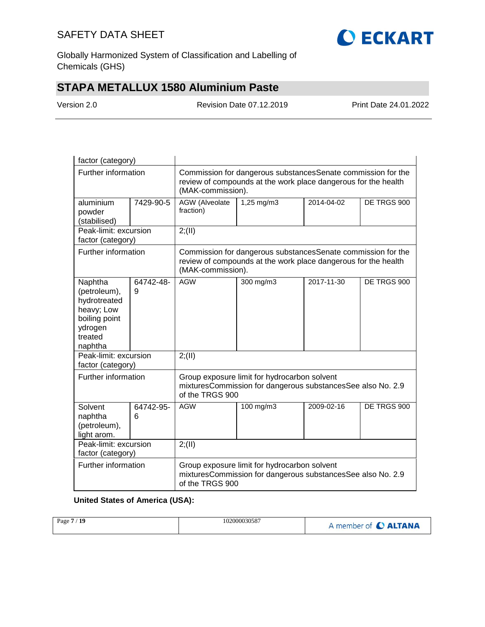

Globally Harmonized System of Classification and Labelling of Chemicals (GHS)

# **STAPA METALLUX 1580 Aluminium Paste**

Version 2.0 Revision Date 07.12.2019 Print Date 24.01.2022

| factor (category)                                                                                                         |                |                                                                                                                                                     |                                                                                                                                 |            |             |  |
|---------------------------------------------------------------------------------------------------------------------------|----------------|-----------------------------------------------------------------------------------------------------------------------------------------------------|---------------------------------------------------------------------------------------------------------------------------------|------------|-------------|--|
| Further information                                                                                                       |                | Commission for dangerous substancesSenate commission for the<br>review of compounds at the work place dangerous for the health<br>(MAK-commission). |                                                                                                                                 |            |             |  |
| aluminium<br>powder<br>(stabilised)                                                                                       | 7429-90-5      | AGW (Alveolate<br>fraction)                                                                                                                         | 1,25 mg/m3                                                                                                                      | 2014-04-02 | DE TRGS 900 |  |
| Peak-limit: excursion<br>factor (category)                                                                                |                | 2; (II)                                                                                                                                             |                                                                                                                                 |            |             |  |
| Further information                                                                                                       |                | (MAK-commission).                                                                                                                                   | Commission for dangerous substances Senate commission for the<br>review of compounds at the work place dangerous for the health |            |             |  |
| Naphtha<br>64742-48-<br>(petroleum),<br>9<br>hydrotreated<br>heavy; Low<br>boiling point<br>ydrogen<br>treated<br>naphtha |                | <b>AGW</b>                                                                                                                                          | 300 mg/m3                                                                                                                       | 2017-11-30 | DE TRGS 900 |  |
| Peak-limit: excursion<br>factor (category)                                                                                |                | 2; (II)                                                                                                                                             |                                                                                                                                 |            |             |  |
| Further information                                                                                                       |                | Group exposure limit for hydrocarbon solvent<br>mixturesCommission for dangerous substancesSee also No. 2.9<br>of the TRGS 900                      |                                                                                                                                 |            |             |  |
| Solvent<br>naphtha<br>(petroleum),<br>light arom.                                                                         | 64742-95-<br>6 | <b>AGW</b>                                                                                                                                          | 100 mg/m3                                                                                                                       | 2009-02-16 | DE TRGS 900 |  |
| Peak-limit: excursion<br>factor (category)                                                                                |                | 2; (II)                                                                                                                                             |                                                                                                                                 |            |             |  |
| Further information                                                                                                       |                | Group exposure limit for hydrocarbon solvent<br>mixturesCommission for dangerous substancesSee also No. 2.9<br>of the TRGS 900                      |                                                                                                                                 |            |             |  |

### **United States of America (USA):**

| /19<br>Page 7 | 102000030587 | I member of C ALTANA |
|---------------|--------------|----------------------|
|               |              |                      |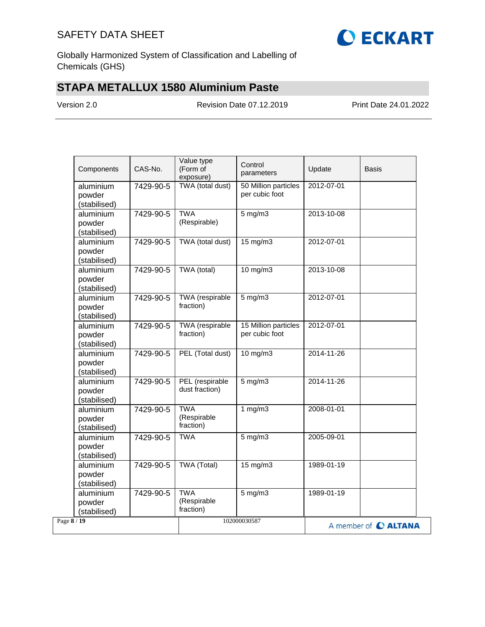

Globally Harmonized System of Classification and Labelling of Chemicals (GHS)

# **STAPA METALLUX 1580 Aluminium Paste**

Version 2.0 Revision Date 07.12.2019 Print Date 24.01.2022

| Components                          | CAS-No.   | Value type<br>(Form of<br>exposure)    | Control<br>parameters                  | Update     | <b>Basis</b>         |
|-------------------------------------|-----------|----------------------------------------|----------------------------------------|------------|----------------------|
| aluminium<br>powder<br>(stabilised) | 7429-90-5 | TWA (total dust)                       | 50 Million particles<br>per cubic foot | 2012-07-01 |                      |
| aluminium<br>powder<br>(stabilised) | 7429-90-5 | <b>TWA</b><br>(Respirable)             | $5$ mg/m $3$                           | 2013-10-08 |                      |
| aluminium<br>powder<br>(stabilised) | 7429-90-5 | TWA (total dust)                       | $15 \text{ mg/m}$                      | 2012-07-01 |                      |
| aluminium<br>powder<br>(stabilised) | 7429-90-5 | TWA (total)                            | 10 mg/m3                               | 2013-10-08 |                      |
| aluminium<br>powder<br>(stabilised) | 7429-90-5 | <b>TWA</b> (respirable<br>fraction)    | $5$ mg/m $3$                           | 2012-07-01 |                      |
| aluminium<br>powder<br>(stabilised) | 7429-90-5 | TWA (respirable<br>fraction)           | 15 Million particles<br>per cubic foot | 2012-07-01 |                      |
| aluminium<br>powder<br>(stabilised) | 7429-90-5 | PEL (Total dust)                       | 10 mg/m3                               | 2014-11-26 |                      |
| aluminium<br>powder<br>(stabilised) | 7429-90-5 | PEL (respirable<br>dust fraction)      | $5$ mg/m $3$                           | 2014-11-26 |                      |
| aluminium<br>powder<br>(stabilised) | 7429-90-5 | <b>TWA</b><br>(Respirable<br>fraction) | 1 $mg/m3$                              | 2008-01-01 |                      |
| aluminium<br>powder<br>(stabilised) | 7429-90-5 | <b>TWA</b>                             | $5$ mg/m $3$                           | 2005-09-01 |                      |
| aluminium<br>powder<br>(stabilised) | 7429-90-5 | TWA (Total)                            | 15 mg/m3                               | 1989-01-19 |                      |
| aluminium<br>powder<br>(stabilised) | 7429-90-5 | <b>TWA</b><br>(Respirable<br>fraction) | $5$ mg/m $3$                           | 1989-01-19 |                      |
| Page 8 / 19                         |           |                                        | 102000030587                           |            | A member of C ALTANA |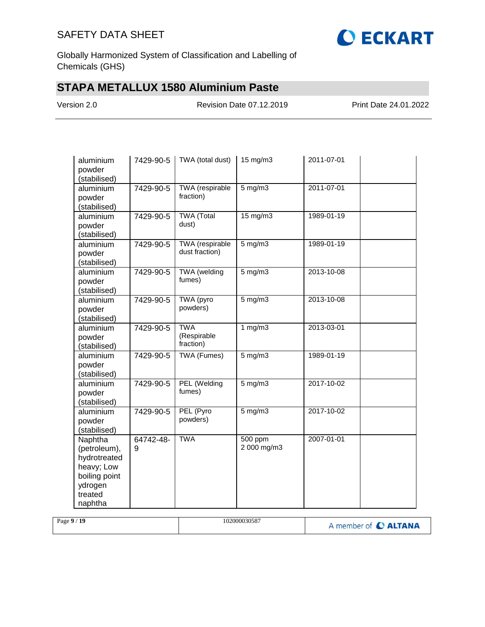

Globally Harmonized System of Classification and Labelling of Chemicals (GHS)

# **STAPA METALLUX 1580 Aluminium Paste**

Version 2.0 Revision Date 07.12.2019 Print Date 24.01.2022

| aluminium<br>powder<br>(stabilised)                                                                     | 7429-90-5      | TWA (total dust)                         | 15 mg/m3               | 2011-07-01 |  |
|---------------------------------------------------------------------------------------------------------|----------------|------------------------------------------|------------------------|------------|--|
| aluminium<br>powder<br>(stabilised)                                                                     | 7429-90-5      | TWA (respirable<br>fraction)             | $5$ mg/m $3$           | 2011-07-01 |  |
| aluminium<br>powder<br>(stabilised)                                                                     | 7429-90-5      | <b>TWA (Total</b><br>dust)               | 15 mg/m3               | 1989-01-19 |  |
| aluminium<br>powder<br>(stabilised)                                                                     | 7429-90-5      | <b>TWA</b> (respirable<br>dust fraction) | $5$ mg/m $3$           | 1989-01-19 |  |
| aluminium<br>powder<br>(stabilised)                                                                     | 7429-90-5      | TWA (welding<br>fumes)                   | $5$ mg/m $3$           | 2013-10-08 |  |
| aluminium<br>powder<br>(stabilised)                                                                     | 7429-90-5      | TWA (pyro<br>powders)                    | $5$ mg/m $3$           | 2013-10-08 |  |
| aluminium<br>powder<br>(stabilised)                                                                     | 7429-90-5      | <b>TWA</b><br>(Respirable<br>fraction)   | 1 $mg/m3$              | 2013-03-01 |  |
| aluminium<br>powder<br>(stabilised)                                                                     | 7429-90-5      | TWA (Fumes)                              | $5$ mg/m $3$           | 1989-01-19 |  |
| aluminium<br>powder<br>(stabilised)                                                                     | 7429-90-5      | PEL (Welding<br>fumes)                   | $5$ mg/m $3$           | 2017-10-02 |  |
| aluminium<br>powder<br>(stabilised)                                                                     | 7429-90-5      | PEL (Pyro<br>powders)                    | $5$ mg/m $3$           | 2017-10-02 |  |
| Naphtha<br>(petroleum),<br>hydrotreated<br>heavy; Low<br>boiling point<br>ydrogen<br>treated<br>naphtha | 64742-48-<br>9 | <b>TWA</b>                               | 500 ppm<br>2 000 mg/m3 | 2007-01-01 |  |

| -19<br>Page 9 | 102000030587 | A member of <b>C ALTANA</b> |
|---------------|--------------|-----------------------------|
|---------------|--------------|-----------------------------|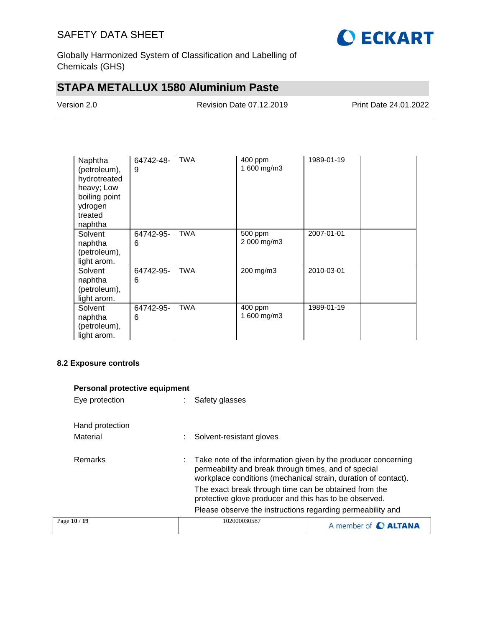

Globally Harmonized System of Classification and Labelling of Chemicals (GHS)

# **STAPA METALLUX 1580 Aluminium Paste**

Version 2.0 Revision Date 07.12.2019 Print Date 24.01.2022

| Naphtha<br>(petroleum),<br>hydrotreated<br>heavy; Low<br>boiling point<br>ydrogen<br>treated<br>naphtha | 64742-48-<br>9 | <b>TWA</b> | 400 ppm<br>1 600 mg/m3 | 1989-01-19 |  |
|---------------------------------------------------------------------------------------------------------|----------------|------------|------------------------|------------|--|
| Solvent<br>naphtha<br>(petroleum),<br>light arom.                                                       | 64742-95-<br>6 | <b>TWA</b> | 500 ppm<br>2 000 mg/m3 | 2007-01-01 |  |
| Solvent<br>naphtha<br>(petroleum),<br>light arom.                                                       | 64742-95-<br>6 | <b>TWA</b> | 200 mg/m3              | 2010-03-01 |  |
| Solvent<br>naphtha<br>(petroleum),<br>light arom.                                                       | 64742-95-<br>6 | <b>TWA</b> | 400 ppm<br>1 600 mg/m3 | 1989-01-19 |  |

### **8.2 Exposure controls**

| <b>Personal protective equipment</b> |                                                                                                                                                                                         |                                                                                                                 |                      |
|--------------------------------------|-----------------------------------------------------------------------------------------------------------------------------------------------------------------------------------------|-----------------------------------------------------------------------------------------------------------------|----------------------|
| Eye protection                       |                                                                                                                                                                                         | Safety glasses                                                                                                  |                      |
| Hand protection                      |                                                                                                                                                                                         |                                                                                                                 |                      |
| Material                             |                                                                                                                                                                                         | Solvent-resistant gloves                                                                                        |                      |
| Remarks                              | Take note of the information given by the producer concerning<br>permeability and break through times, and of special<br>workplace conditions (mechanical strain, duration of contact). |                                                                                                                 |                      |
|                                      |                                                                                                                                                                                         | The exact break through time can be obtained from the<br>protective glove producer and this has to be observed. |                      |
|                                      |                                                                                                                                                                                         | Please observe the instructions regarding permeability and                                                      |                      |
| Page 10 / 19                         |                                                                                                                                                                                         | 102000030587                                                                                                    | A member of C ALTANA |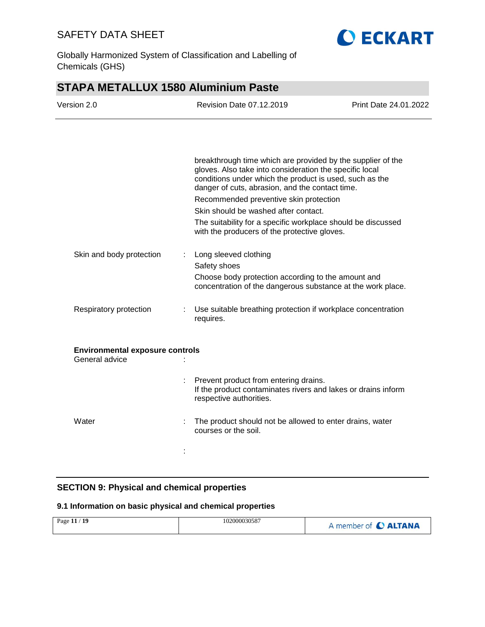

Globally Harmonized System of Classification and Labelling of Chemicals (GHS)

# **STAPA METALLUX 1580 Aluminium Paste**

| Version 2.0                                              | <b>Revision Date 07.12.2019</b>                                                                                                                                                                                                      | Print Date 24.01.2022 |
|----------------------------------------------------------|--------------------------------------------------------------------------------------------------------------------------------------------------------------------------------------------------------------------------------------|-----------------------|
|                                                          |                                                                                                                                                                                                                                      |                       |
|                                                          | breakthrough time which are provided by the supplier of the<br>gloves. Also take into consideration the specific local<br>conditions under which the product is used, such as the<br>danger of cuts, abrasion, and the contact time. |                       |
|                                                          | Recommended preventive skin protection                                                                                                                                                                                               |                       |
|                                                          | Skin should be washed after contact.<br>The suitability for a specific workplace should be discussed<br>with the producers of the protective gloves.                                                                                 |                       |
| Skin and body protection                                 | Long sleeved clothing                                                                                                                                                                                                                |                       |
|                                                          | Safety shoes                                                                                                                                                                                                                         |                       |
|                                                          | Choose body protection according to the amount and<br>concentration of the dangerous substance at the work place.                                                                                                                    |                       |
| Respiratory protection                                   | Use suitable breathing protection if workplace concentration<br>requires.                                                                                                                                                            |                       |
| <b>Environmental exposure controls</b><br>General advice |                                                                                                                                                                                                                                      |                       |
|                                                          | Prevent product from entering drains.<br>If the product contaminates rivers and lakes or drains inform<br>respective authorities.                                                                                                    |                       |
| Water                                                    | The product should not be allowed to enter drains, water<br>courses or the soil.                                                                                                                                                     |                       |
|                                                          |                                                                                                                                                                                                                                      |                       |
|                                                          |                                                                                                                                                                                                                                      |                       |

### **SECTION 9: Physical and chemical properties**

### **9.1 Information on basic physical and chemical properties**

|  | Page 11 / 19 | 102000030587 | A member of C ALTANA |
|--|--------------|--------------|----------------------|
|--|--------------|--------------|----------------------|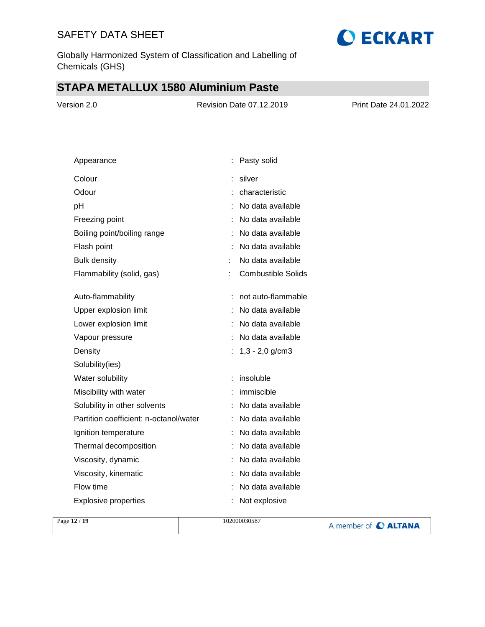Globally Harmonized System of Classification and Labelling of Chemicals (GHS)

# **STAPA METALLUX 1580 Aluminium Paste**

| Version 2.0 | <b>Revision Date 07.12.2019</b> | <b>Print Date 24.01.2022</b> |
|-------------|---------------------------------|------------------------------|
|             |                                 |                              |
|             |                                 |                              |

| Appearance                             | Pasty solid               |
|----------------------------------------|---------------------------|
| Colour                                 | silver                    |
| Odour                                  | characteristic            |
| рH                                     | No data available         |
| Freezing point                         | No data available         |
| Boiling point/boiling range            | No data available         |
| Flash point                            | No data available         |
| <b>Bulk density</b>                    | No data available         |
| Flammability (solid, gas)              | <b>Combustible Solids</b> |
|                                        |                           |
| Auto-flammability                      | not auto-flammable        |
| Upper explosion limit                  | No data available         |
| Lower explosion limit                  | No data available         |
| Vapour pressure                        | No data available         |
| Density                                | $1,3 - 2,0$ g/cm3         |
| Solubility(ies)                        |                           |
| Water solubility                       | insoluble                 |
| Miscibility with water                 | immiscible                |
| Solubility in other solvents           | No data available<br>÷.   |
| Partition coefficient: n-octanol/water | No data available         |
| Ignition temperature                   | No data available         |
| Thermal decomposition                  | No data available         |
| Viscosity, dynamic                     | No data available         |
| Viscosity, kinematic                   | No data available         |
| Flow time                              | No data available         |
| <b>Explosive properties</b>            | Not explosive             |

| Page $12/19$ | 102000030587<br>A member of C ALTANA |
|--------------|--------------------------------------|
|--------------|--------------------------------------|

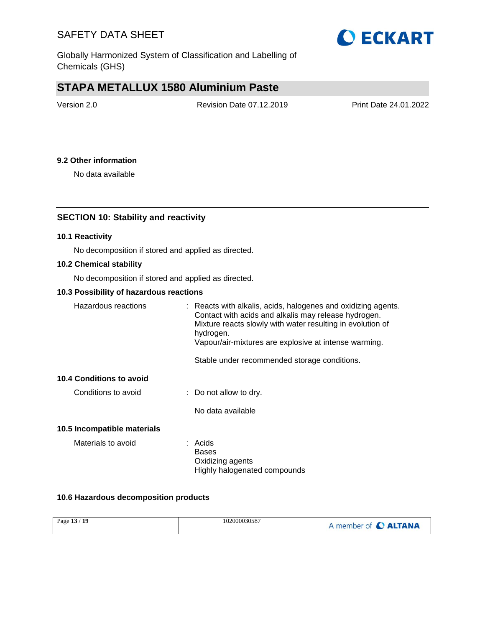

Globally Harmonized System of Classification and Labelling of Chemicals (GHS)

# **STAPA METALLUX 1580 Aluminium Paste**

| Version 2.0 | Revision Date 07.12.2019 | Print Date 24.01.2022 |
|-------------|--------------------------|-----------------------|
|             |                          |                       |

### **9.2 Other information**

No data available

### **SECTION 10: Stability and reactivity**

### **10.1 Reactivity**

No decomposition if stored and applied as directed.

### **10.2 Chemical stability**

No decomposition if stored and applied as directed.

### **10.3 Possibility of hazardous reactions**

| Hazardous reactions         | $\therefore$ Reacts with alkalis, acids, halogenes and oxidizing agents.<br>Contact with acids and alkalis may release hydrogen.<br>Mixture reacts slowly with water resulting in evolution of<br>hydrogen.<br>Vapour/air-mixtures are explosive at intense warming. |
|-----------------------------|----------------------------------------------------------------------------------------------------------------------------------------------------------------------------------------------------------------------------------------------------------------------|
|                             | Stable under recommended storage conditions.                                                                                                                                                                                                                         |
| 10.4 Conditions to avoid    |                                                                                                                                                                                                                                                                      |
| Conditions to avoid         | $\therefore$ Do not allow to dry.                                                                                                                                                                                                                                    |
|                             | No data available                                                                                                                                                                                                                                                    |
| 10.5 Incompatible materials |                                                                                                                                                                                                                                                                      |
| Materials to avoid          | : Acids<br>Bases<br>Oxidizing agents<br>Highly halogenated compounds                                                                                                                                                                                                 |

### **10.6 Hazardous decomposition products**

| Page 13 / 19 | 102000030587 | A member of C ALTANA |
|--------------|--------------|----------------------|
|--------------|--------------|----------------------|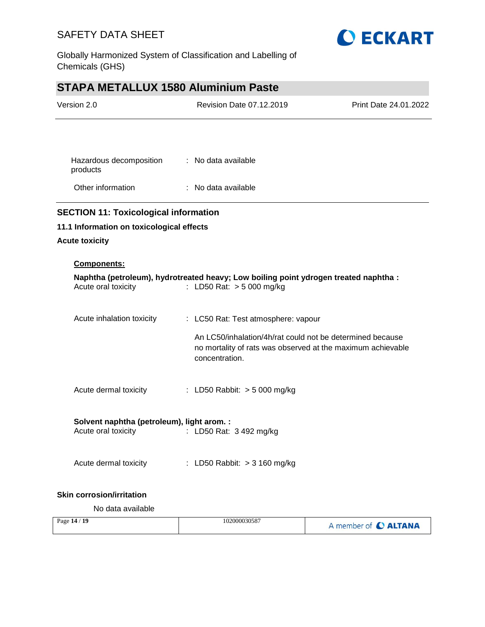

Globally Harmonized System of Classification and Labelling of Chemicals (GHS)

# **STAPA METALLUX 1580 Aluminium Paste**

| Version 2.0                                                       | <b>Revision Date 07.12.2019</b>                                                                                                            | Print Date 24.01.2022 |
|-------------------------------------------------------------------|--------------------------------------------------------------------------------------------------------------------------------------------|-----------------------|
|                                                                   |                                                                                                                                            |                       |
| Hazardous decomposition<br>products                               | : No data available                                                                                                                        |                       |
| Other information                                                 | : No data available                                                                                                                        |                       |
| <b>SECTION 11: Toxicological information</b>                      |                                                                                                                                            |                       |
| 11.1 Information on toxicological effects                         |                                                                                                                                            |                       |
| <b>Acute toxicity</b>                                             |                                                                                                                                            |                       |
| Components:                                                       |                                                                                                                                            |                       |
| Acute oral toxicity                                               | Naphtha (petroleum), hydrotreated heavy; Low boiling point ydrogen treated naphtha :<br>: LD50 Rat: > 5 000 mg/kg                          |                       |
| Acute inhalation toxicity                                         | : LC50 Rat: Test atmosphere: vapour                                                                                                        |                       |
|                                                                   | An LC50/inhalation/4h/rat could not be determined because<br>no mortality of rats was observed at the maximum achievable<br>concentration. |                       |
| Acute dermal toxicity                                             | : LD50 Rabbit: $> 5000$ mg/kg                                                                                                              |                       |
| Solvent naphtha (petroleum), light arom. :<br>Acute oral toxicity | : LD50 Rat: 3 492 mg/kg                                                                                                                    |                       |
| Acute dermal toxicity                                             | : LD50 Rabbit: $>$ 3 160 mg/kg                                                                                                             |                       |
| <b>Skin corrosion/irritation</b>                                  |                                                                                                                                            |                       |

No data available

| Page 14 / 19 | 102000030587 | A member of C ALTANA |
|--------------|--------------|----------------------|
|--------------|--------------|----------------------|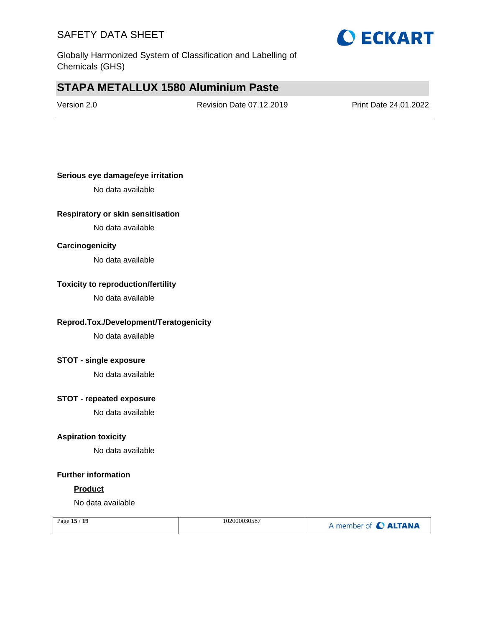

Globally Harmonized System of Classification and Labelling of Chemicals (GHS)

# **STAPA METALLUX 1580 Aluminium Paste**

Version 2.0 Revision Date 07.12.2019 Print Date 24.01.2022

### **Serious eye damage/eye irritation**

No data available

### **Respiratory or skin sensitisation**

No data available

### **Carcinogenicity**

No data available

### **Toxicity to reproduction/fertility**

No data available

### **Reprod.Tox./Development/Teratogenicity**

No data available

#### **STOT - single exposure**

No data available

### **STOT - repeated exposure**

No data available

### **Aspiration toxicity**

No data available

#### **Further information**

#### **Product**

No data available

| Page 15 / 19 | 102000030587 | A member of C ALTANA |
|--------------|--------------|----------------------|
|              |              |                      |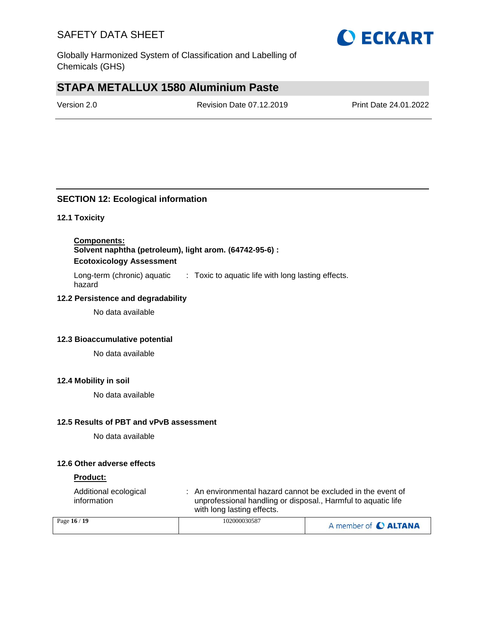

Globally Harmonized System of Classification and Labelling of Chemicals (GHS)

# **STAPA METALLUX 1580 Aluminium Paste**

Version 2.0 Revision Date 07.12.2019 Print Date 24.01.2022

### **SECTION 12: Ecological information**

### **12.1 Toxicity**

**Components: Solvent naphtha (petroleum), light arom. (64742-95-6) : Ecotoxicology Assessment**

Long-term (chronic) aquatic hazard : Toxic to aquatic life with long lasting effects.

### **12.2 Persistence and degradability**

No data available

### **12.3 Bioaccumulative potential**

No data available

### **12.4 Mobility in soil**

No data available

#### **12.5 Results of PBT and vPvB assessment**

No data available

### **12.6 Other adverse effects**

#### **Product:**

| Additional ecological<br>information | : An environmental hazard cannot be excluded in the event of<br>unprofessional handling or disposal., Harmful to aquatic life<br>with long lasting effects. |
|--------------------------------------|-------------------------------------------------------------------------------------------------------------------------------------------------------------|
| $\approx$ 16 / 10                    | 102000030587                                                                                                                                                |

| Page 16 / 19 | 102000030587 | A member of C ALTANA |
|--------------|--------------|----------------------|
|--------------|--------------|----------------------|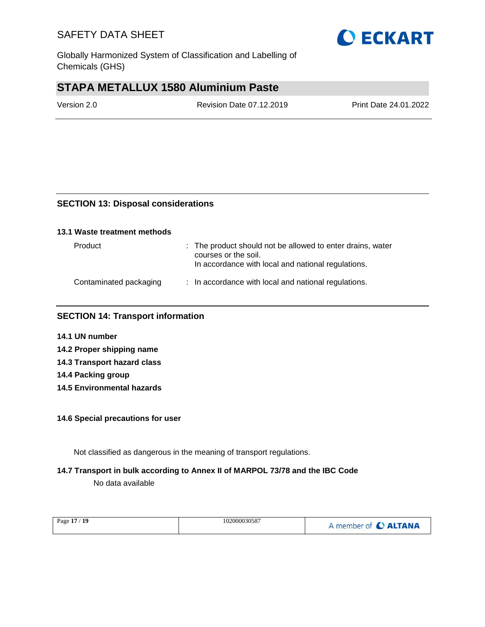

Globally Harmonized System of Classification and Labelling of Chemicals (GHS)

# **STAPA METALLUX 1580 Aluminium Paste**

Version 2.0 Revision Date 07.12.2019 Print Date 24.01.2022

### **SECTION 13: Disposal considerations**

#### **13.1 Waste treatment methods**

| Product                | : The product should not be allowed to enter drains, water<br>courses or the soil.<br>In accordance with local and national regulations. |
|------------------------|------------------------------------------------------------------------------------------------------------------------------------------|
| Contaminated packaging | : In accordance with local and national regulations.                                                                                     |

### **SECTION 14: Transport information**

- **14.1 UN number**
- **14.2 Proper shipping name 14.3 Transport hazard class**
- **14.4 Packing group**
- **14.5 Environmental hazards**

### **14.6 Special precautions for user**

Not classified as dangerous in the meaning of transport regulations.

### **14.7 Transport in bulk according to Annex II of MARPOL 73/78 and the IBC Code**

No data available

| 102000030587<br>Page 17 / 19 | A member of C ALTANA |
|------------------------------|----------------------|
|------------------------------|----------------------|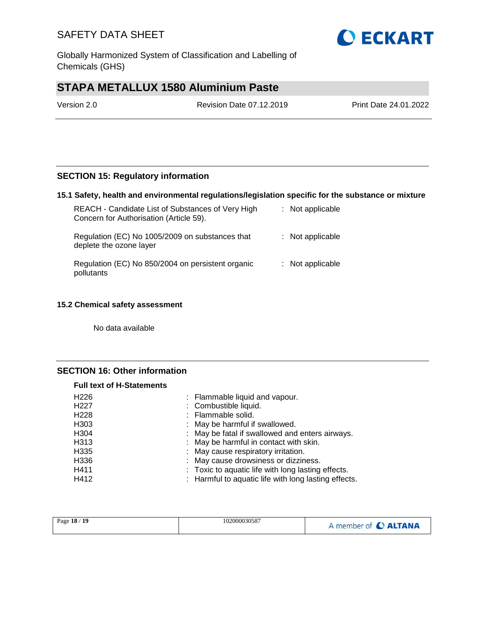Globally Harmonized System of Classification and Labelling of Chemicals (GHS)

# **STAPA METALLUX 1580 Aluminium Paste**

Version 2.0 Revision Date 07.12.2019 Print Date 24.01.2022

### **SECTION 15: Regulatory information**

### **15.1 Safety, health and environmental regulations/legislation specific for the substance or mixture**

| REACH - Candidate List of Substances of Very High<br>Concern for Authorisation (Article 59). | : Not applicable   |
|----------------------------------------------------------------------------------------------|--------------------|
| Regulation (EC) No 1005/2009 on substances that<br>deplete the ozone layer                   | : Not applicable   |
| Regulation (EC) No 850/2004 on persistent organic<br>pollutants                              | $:$ Not applicable |

### **15.2 Chemical safety assessment**

No data available

### **SECTION 16: Other information**

| <b>Full text of H-Statements</b> |                                                      |
|----------------------------------|------------------------------------------------------|
| H <sub>226</sub>                 | : Flammable liquid and vapour.                       |
| H <sub>227</sub>                 | : Combustible liquid.                                |
| H <sub>228</sub>                 | : Flammable solid.                                   |
| H <sub>303</sub>                 | : May be harmful if swallowed.                       |
| H304                             | : May be fatal if swallowed and enters airways.      |
| H313                             | : May be harmful in contact with skin.               |
| H335                             | : May cause respiratory irritation.                  |
| H336                             | : May cause drowsiness or dizziness.                 |
| H411                             | : Toxic to aquatic life with long lasting effects.   |
| H412                             | : Harmful to aquatic life with long lasting effects. |

| Page 18 / 19 | 102000030587 | A member of C ALTANA |
|--------------|--------------|----------------------|
|--------------|--------------|----------------------|